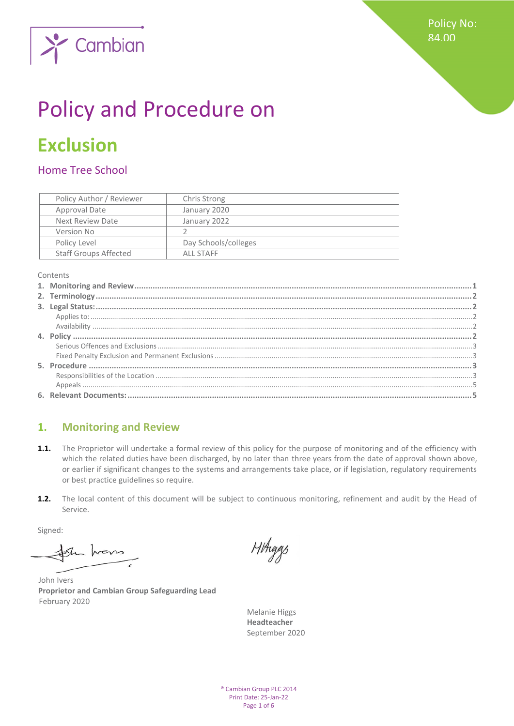

# Policy and Procedure on

## **Exclusion**

## Home Tree School

|              | Policy Author / Reviewer     | Chris Strong         |  |
|--------------|------------------------------|----------------------|--|
|              | Approval Date                | January 2020         |  |
|              | Next Review Date             | January 2022         |  |
| Version No   |                              |                      |  |
| Policy Level |                              | Day Schools/colleges |  |
|              | <b>Staff Groups Affected</b> | AII STAFF            |  |

Contents

## <span id="page-0-0"></span>**1. Monitoring and Review**

- **1.1.** The Proprietor will undertake a formal review of this policy for the purpose of monitoring and of the efficiency with which the related duties have been discharged, by no later than three years from the date of approval shown above, or earlier if significant changes to the systems and arrangements take place, or if legislation, regulatory requirements or best practice guidelines so require.
- **1.2.** The local content of this document will be subject to continuous monitoring, refinement and audit by the Head of Service.

Signed:

the hours

John Ivers **Proprietor and Cambian Group Safeguarding Lead** February 2020

HHiggs

Melanie Higgs **Headteacher**  September 2020

® Cambian Group PLC 2014 Print Date: 25-Jan-22 Page 1 of 6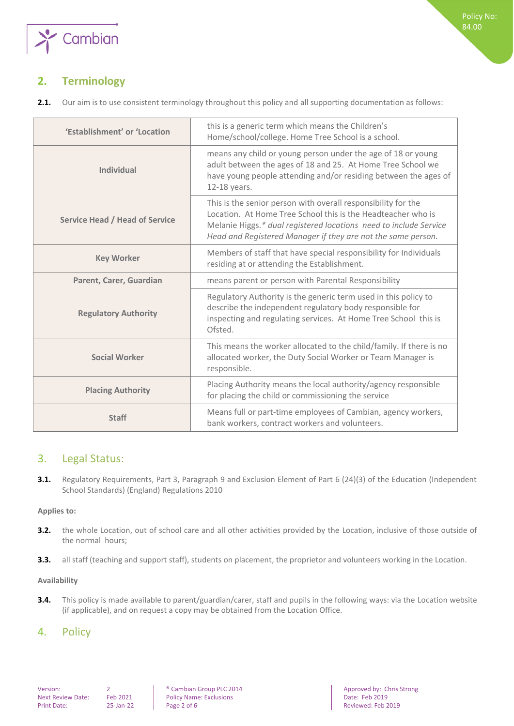

## <span id="page-1-0"></span>**2. Terminology**

**2.1.** Our aim is to use consistent terminology throughout this policy and all supporting documentation as follows:

| 'Establishment' or 'Location          | this is a generic term which means the Children's<br>Home/school/college. Home Tree School is a school.                                                                                                                                                            |
|---------------------------------------|--------------------------------------------------------------------------------------------------------------------------------------------------------------------------------------------------------------------------------------------------------------------|
| <b>Individual</b>                     | means any child or young person under the age of 18 or young<br>adult between the ages of 18 and 25. At Home Tree School we<br>have young people attending and/or residing between the ages of<br>12-18 years.                                                     |
| <b>Service Head / Head of Service</b> | This is the senior person with overall responsibility for the<br>Location. At Home Tree School this is the Headteacher who is<br>Melanie Higgs.* dual registered locations need to include Service<br>Head and Registered Manager if they are not the same person. |
| <b>Key Worker</b>                     | Members of staff that have special responsibility for Individuals<br>residing at or attending the Establishment.                                                                                                                                                   |
| Parent, Carer, Guardian               | means parent or person with Parental Responsibility                                                                                                                                                                                                                |
| <b>Regulatory Authority</b>           | Regulatory Authority is the generic term used in this policy to<br>describe the independent regulatory body responsible for<br>inspecting and regulating services. At Home Tree School this is<br>Ofsted.                                                          |
| <b>Social Worker</b>                  | This means the worker allocated to the child/family. If there is no<br>allocated worker, the Duty Social Worker or Team Manager is<br>responsible.                                                                                                                 |
| <b>Placing Authority</b>              | Placing Authority means the local authority/agency responsible<br>for placing the child or commissioning the service                                                                                                                                               |
| <b>Staff</b>                          | Means full or part-time employees of Cambian, agency workers,<br>bank workers, contract workers and volunteers.                                                                                                                                                    |

## <span id="page-1-1"></span>3. Legal Status:

**3.1.** Regulatory Requirements, Part 3, Paragraph 9 and Exclusion Element of Part 6 (24)(3) of the Education (Independent School Standards) (England) Regulations 2010

### <span id="page-1-2"></span>**Applies to:**

- **3.2.** the whole Location, out of school care and all other activities provided by the Location, inclusive of those outside of the normal hours;
- <span id="page-1-3"></span>**3.3.** all staff (teaching and support staff), students on placement, the proprietor and volunteers working in the Location.

#### **Availability**

**3.4.** This policy is made available to parent/guardian/carer, staff and pupils in the following ways: via the Location website (if applicable), and on request a copy may be obtained from the Location Office.

## <span id="page-1-4"></span>4. Policy

Policy Name: Exclusions<br>Page 2 of 6 Print Date: 25-Jan-22 Page 2 of 6 Reviewed: Feb 2019

Version: 2 ® Cambian Group PLC 2014 Approved by: Chris Strong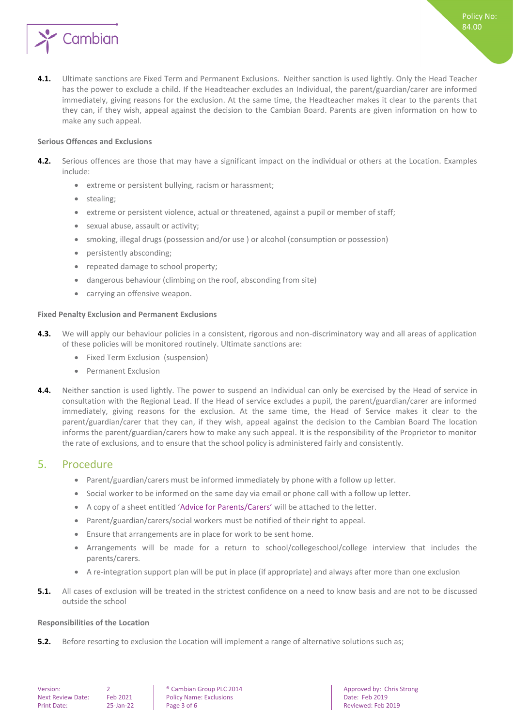

**4.1.** Ultimate sanctions are Fixed Term and Permanent Exclusions. Neither sanction is used lightly. Only the Head Teacher has the power to exclude a child. If the Headteacher excludes an Individual, the parent/guardian/carer are informed immediately, giving reasons for the exclusion. At the same time, the Headteacher makes it clear to the parents that they can, if they wish, appeal against the decision to the Cambian Board. Parents are given information on how to make any such appeal.

#### <span id="page-2-0"></span>**Serious Offences and Exclusions**

- **4.2.** Serious offences are those that may have a significant impact on the individual or others at the Location. Examples include:
	- extreme or persistent bullying, racism or harassment;
	- stealing;
	- extreme or persistent violence, actual or threatened, against a pupil or member of staff;
	- sexual abuse, assault or activity;
	- smoking, illegal drugs (possession and/or use ) or alcohol (consumption or possession)
	- persistently absconding;
	- repeated damage to school property;
	- dangerous behaviour (climbing on the roof, absconding from site)
	- carrying an offensive weapon.

#### <span id="page-2-1"></span>**Fixed Penalty Exclusion and Permanent Exclusions**

- **4.3.** We will apply our behaviour policies in a consistent, rigorous and non-discriminatory way and all areas of application of these policies will be monitored routinely. Ultimate sanctions are:
	- Fixed Term Exclusion (suspension)
	- Permanent Exclusion
- **4.4.** Neither sanction is used lightly. The power to suspend an Individual can only be exercised by the Head of service in consultation with the Regional Lead. If the Head of service excludes a pupil, the parent/guardian/carer are informed immediately, giving reasons for the exclusion. At the same time, the Head of Service makes it clear to the parent/guardian/carer that they can, if they wish, appeal against the decision to the Cambian Board The location informs the parent/guardian/carers how to make any such appeal. It is the responsibility of the Proprietor to monitor the rate of exclusions, and to ensure that the school policy is administered fairly and consistently.

### <span id="page-2-2"></span>5. Procedure

- Parent/guardian/carers must be informed immediately by phone with a follow up letter.
- Social worker to be informed on the same day via email or phone call with a follow up letter.
- A copy of a sheet entitled 'Advice for Parents/Carers' will be attached to the letter.
- Parent/guardian/carers/social workers must be notified of their right to appeal.
- Ensure that arrangements are in place for work to be sent home.
- Arrangements will be made for a return to school/collegeschool/college interview that includes the parents/carers.
- A re-integration support plan will be put in place (if appropriate) and always after more than one exclusion
- **5.1.** All cases of exclusion will be treated in the strictest confidence on a need to know basis and are not to be discussed outside the school

#### <span id="page-2-3"></span>**Responsibilities of the Location**

**5.2.** Before resorting to exclusion the Location will implement a range of alternative solutions such as;

Next Review Date: Feb 2021 | Policy Name: Exclusions | Date: Feb 2019 Print Date: 25-Jan-22 Page 3 of 6 Reviewed: Feb 2019

Version: 2 ® Cambian Group PLC 2014 Approved by: Chris Strong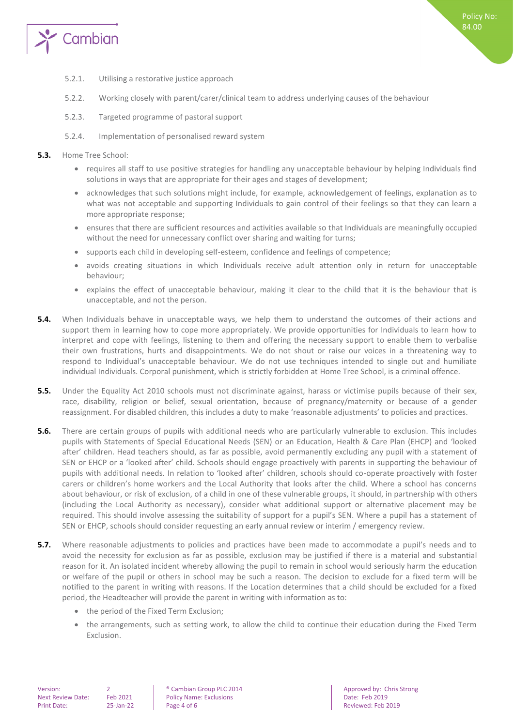

- 5.2.1. Utilising a restorative justice approach
- 5.2.2. Working closely with parent/carer/clinical team to address underlying causes of the behaviour
- 5.2.3. Targeted programme of pastoral support
- 5.2.4. Implementation of personalised reward system
- **5.3.** Home Tree School:
	- requires all staff to use positive strategies for handling any unacceptable behaviour by helping Individuals find solutions in ways that are appropriate for their ages and stages of development;
	- acknowledges that such solutions might include, for example, acknowledgement of feelings, explanation as to what was not acceptable and supporting Individuals to gain control of their feelings so that they can learn a more appropriate response;
	- ensures that there are sufficient resources and activities available so that Individuals are meaningfully occupied without the need for unnecessary conflict over sharing and waiting for turns;
	- supports each child in developing self-esteem, confidence and feelings of competence;
	- avoids creating situations in which Individuals receive adult attention only in return for unacceptable behaviour;
	- explains the effect of unacceptable behaviour, making it clear to the child that it is the behaviour that is unacceptable, and not the person.
- **5.4.** When Individuals behave in unacceptable ways, we help them to understand the outcomes of their actions and support them in learning how to cope more appropriately. We provide opportunities for Individuals to learn how to interpret and cope with feelings, listening to them and offering the necessary support to enable them to verbalise their own frustrations, hurts and disappointments. We do not shout or raise our voices in a threatening way to respond to Individual's unacceptable behaviour. We do not use techniques intended to single out and humiliate individual Individuals. Corporal punishment, which is strictly forbidden at Home Tree School, is a criminal offence.
- **5.5.** Under the Equality Act 2010 schools must not discriminate against, harass or victimise pupils because of their sex, race, disability, religion or belief, sexual orientation, because of pregnancy/maternity or because of a gender reassignment. For disabled children, this includes a duty to make 'reasonable adjustments' to policies and practices.
- **5.6.** There are certain groups of pupils with additional needs who are particularly vulnerable to exclusion. This includes pupils with Statements of Special Educational Needs (SEN) or an Education, Health & Care Plan (EHCP) and 'looked after' children. Head teachers should, as far as possible, avoid permanently excluding any pupil with a statement of SEN or EHCP or a 'looked after' child. Schools should engage proactively with parents in supporting the behaviour of pupils with additional needs. In relation to 'looked after' children, schools should co-operate proactively with foster carers or children's home workers and the Local Authority that looks after the child. Where a school has concerns about behaviour, or risk of exclusion, of a child in one of these vulnerable groups, it should, in partnership with others (including the Local Authority as necessary), consider what additional support or alternative placement may be required. This should involve assessing the suitability of support for a pupil's SEN. Where a pupil has a statement of SEN or EHCP, schools should consider requesting an early annual review or interim / emergency review.
- **5.7.** Where reasonable adjustments to policies and practices have been made to accommodate a pupil's needs and to avoid the necessity for exclusion as far as possible, exclusion may be justified if there is a material and substantial reason for it. An isolated incident whereby allowing the pupil to remain in school would seriously harm the education or welfare of the pupil or others in school may be such a reason. The decision to exclude for a fixed term will be notified to the parent in writing with reasons. If the Location determines that a child should be excluded for a fixed period, the Headteacher will provide the parent in writing with information as to:
	- the period of the Fixed Term Exclusion;
	- the arrangements, such as setting work, to allow the child to continue their education during the Fixed Term Exclusion.

Next Review Date: Feb 2021 | Policy Name: Exclusions | Date: Feb 2019 Print Date: 25-Jan-22 Page 4 of 6 Page 4 of 6 Reviewed: Feb 2019

Version: 2 **2 a** Cambian Group PLC 2014 **Approved by: Chris Strong PLC 2014** Approved by: Chris Strong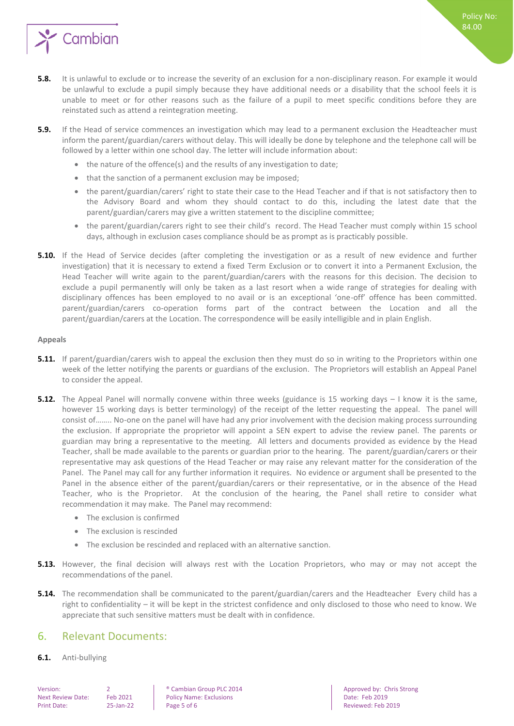

- **5.8.** It is unlawful to exclude or to increase the severity of an exclusion for a non-disciplinary reason. For example it would be unlawful to exclude a pupil simply because they have additional needs or a disability that the school feels it is unable to meet or for other reasons such as the failure of a pupil to meet specific conditions before they are reinstated such as attend a reintegration meeting.
- **5.9.** If the Head of service commences an investigation which may lead to a permanent exclusion the Headteacher must inform the parent/guardian/carers without delay. This will ideally be done by telephone and the telephone call will be followed by a letter within one school day. The letter will include information about:
	- the nature of the offence(s) and the results of any investigation to date;
	- that the sanction of a permanent exclusion may be imposed;
	- the parent/guardian/carers' right to state their case to the Head Teacher and if that is not satisfactory then to the Advisory Board and whom they should contact to do this, including the latest date that the parent/guardian/carers may give a written statement to the discipline committee;
	- the parent/guardian/carers right to see their child's record. The Head Teacher must comply within 15 school days, although in exclusion cases compliance should be as prompt as is practicably possible.
- **5.10.** If the Head of Service decides (after completing the investigation or as a result of new evidence and further investigation) that it is necessary to extend a fixed Term Exclusion or to convert it into a Permanent Exclusion, the Head Teacher will write again to the parent/guardian/carers with the reasons for this decision. The decision to exclude a pupil permanently will only be taken as a last resort when a wide range of strategies for dealing with disciplinary offences has been employed to no avail or is an exceptional 'one-off' offence has been committed. parent/guardian/carers co-operation forms part of the contract between the Location and all the parent/guardian/carers at the Location. The correspondence will be easily intelligible and in plain English.

#### <span id="page-4-0"></span>**Appeals**

- **5.11.** If parent/guardian/carers wish to appeal the exclusion then they must do so in writing to the Proprietors within one week of the letter notifying the parents or guardians of the exclusion. The Proprietors will establish an Appeal Panel to consider the appeal.
- **5.12.** The Appeal Panel will normally convene within three weeks (guidance is 15 working days I know it is the same, however 15 working days is better terminology) of the receipt of the letter requesting the appeal. The panel will consist of…….. No-one on the panel will have had any prior involvement with the decision making process surrounding the exclusion. If appropriate the proprietor will appoint a SEN expert to advise the review panel. The parents or guardian may bring a representative to the meeting. All letters and documents provided as evidence by the Head Teacher, shall be made available to the parents or guardian prior to the hearing. The parent/guardian/carers or their representative may ask questions of the Head Teacher or may raise any relevant matter for the consideration of the Panel. The Panel may call for any further information it requires. No evidence or argument shall be presented to the Panel in the absence either of the parent/guardian/carers or their representative, or in the absence of the Head Teacher, who is the Proprietor. At the conclusion of the hearing, the Panel shall retire to consider what recommendation it may make. The Panel may recommend:
	- The exclusion is confirmed
	- The exclusion is rescinded
	- The exclusion be rescinded and replaced with an alternative sanction.
- **5.13.** However, the final decision will always rest with the Location Proprietors, who may or may not accept the recommendations of the panel.
- **5.14.** The recommendation shall be communicated to the parent/guardian/carers and the Headteacher Every child has a right to confidentiality – it will be kept in the strictest confidence and only disclosed to those who need to know. We appreciate that such sensitive matters must be dealt with in confidence.

## <span id="page-4-1"></span>6. Relevant Documents:

**6.1.** Anti-bullying

Next Review Date: Feb 2021 | Policy Name: Exclusions | Date: Feb 2019 Print Date: 25-Jan-22 Page 5 of 6 Reviewed: Feb 2019

Version: 2 **2 a** Cambian Group PLC 2014 **Approved by: Chris Strong PLC 2014** Approved by: Chris Strong